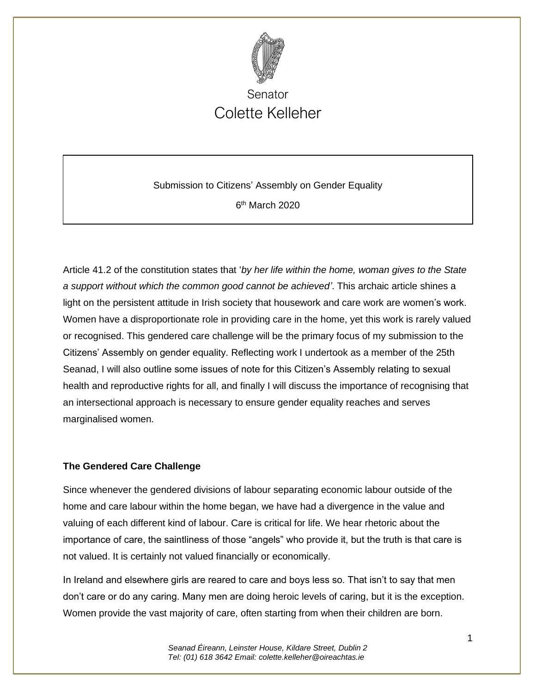

Submission to Citizens' Assembly on Gender Equality 6<sup>th</sup> March 2020

Article 41.2 of the constitution states that '*by her life within the home, woman gives to the State a support without which the common good cannot be achieved'*. This archaic article shines a light on the persistent attitude in Irish society that housework and care work are women's work. Women have a disproportionate role in providing care in the home, yet this work is rarely valued or recognised. This gendered care challenge will be the primary focus of my submission to the Citizens' Assembly on gender equality. Reflecting work I undertook as a member of the 25th Seanad, I will also outline some issues of note for this Citizen's Assembly relating to sexual health and reproductive rights for all, and finally I will discuss the importance of recognising that an intersectional approach is necessary to ensure gender equality reaches and serves marginalised women.

#### **The Gendered Care Challenge**

Since whenever the gendered divisions of labour separating economic labour outside of the home and care labour within the home began, we have had a divergence in the value and valuing of each different kind of labour. Care is critical for life. We hear rhetoric about the importance of care, the saintliness of those "angels" who provide it, but the truth is that care is not valued. It is certainly not valued financially or economically.

In Ireland and elsewhere girls are reared to care and boys less so. That isn't to say that men don't care or do any caring. Many men are doing heroic levels of caring, but it is the exception. Women provide the vast majority of care, often starting from when their children are born.

> *Seanad Éireann, Leinster House, Kildare Street, Dublin 2 Tel: (01) 618 3642 Email: colette.kelleher@oireachtas.ie*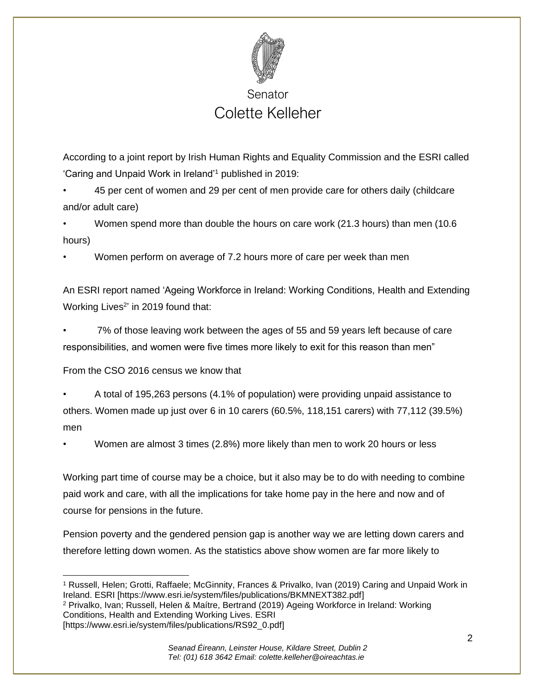

According to a joint report by Irish Human Rights and Equality Commission and the ESRI called 'Caring and Unpaid Work in Ireland'<sup>1</sup> published in 2019:

• 45 per cent of women and 29 per cent of men provide care for others daily (childcare and/or adult care)

• Women spend more than double the hours on care work (21.3 hours) than men (10.6 hours)

• Women perform on average of 7.2 hours more of care per week than men

An ESRI report named 'Ageing Workforce in Ireland: Working Conditions, Health and Extending Working Lives<sup>2</sup>' in 2019 found that:

• 7% of those leaving work between the ages of 55 and 59 years left because of care responsibilities, and women were five times more likely to exit for this reason than men"

From the CSO 2016 census we know that

• A total of 195,263 persons (4.1% of population) were providing unpaid assistance to others. Women made up just over 6 in 10 carers (60.5%, 118,151 carers) with 77,112 (39.5%) men

• Women are almost 3 times (2.8%) more likely than men to work 20 hours or less

Working part time of course may be a choice, but it also may be to do with needing to combine paid work and care, with all the implications for take home pay in the here and now and of course for pensions in the future.

Pension poverty and the gendered pension gap is another way we are letting down carers and therefore letting down women. As the statistics above show women are far more likely to

<sup>1</sup> Russell, Helen; Grotti, Raffaele; McGinnity, Frances & Privalko, Ivan (2019) Caring and Unpaid Work in Ireland. ESRI [https://www.esri.ie/system/files/publications/BKMNEXT382.pdf] <sup>2</sup> Privalko, Ivan; Russell, Helen & Maítre, Bertrand (2019) Ageing Workforce in Ireland: Working Conditions, Health and Extending Working Lives. ESRI [https://www.esri.ie/system/files/publications/RS92\_0.pdf]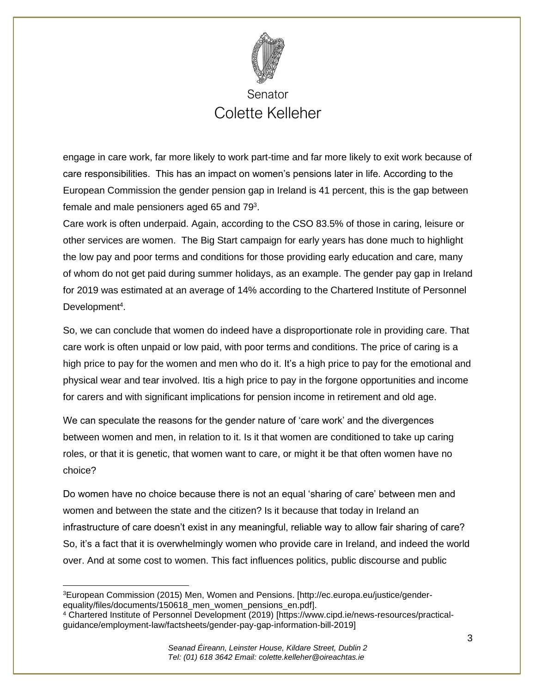

engage in care work, far more likely to work part-time and far more likely to exit work because of care responsibilities. This has an impact on women's pensions later in life. According to the European Commission the gender pension gap in Ireland is 41 percent, this is the gap between female and male pensioners aged 65 and 79 $^3$ .

Care work is often underpaid. Again, according to the CSO 83.5% of those in caring, leisure or other services are women. The Big Start campaign for early years has done much to highlight the low pay and poor terms and conditions for those providing early education and care, many of whom do not get paid during summer holidays, as an example. The gender pay gap in Ireland for 2019 was estimated at an average of 14% according to the Chartered Institute of Personnel Development<sup>4</sup>.

So, we can conclude that women do indeed have a disproportionate role in providing care. That care work is often unpaid or low paid, with poor terms and conditions. The price of caring is a high price to pay for the women and men who do it. It's a high price to pay for the emotional and physical wear and tear involved. Itis a high price to pay in the forgone opportunities and income for carers and with significant implications for pension income in retirement and old age.

We can speculate the reasons for the gender nature of 'care work' and the divergences between women and men, in relation to it. Is it that women are conditioned to take up caring roles, or that it is genetic, that women want to care, or might it be that often women have no choice?

Do women have no choice because there is not an equal 'sharing of care' between men and women and between the state and the citizen? Is it because that today in Ireland an infrastructure of care doesn't exist in any meaningful, reliable way to allow fair sharing of care? So, it's a fact that it is overwhelmingly women who provide care in Ireland, and indeed the world over. And at some cost to women. This fact influences politics, public discourse and public

<sup>3</sup>European Commission (2015) Men, Women and Pensions. [http://ec.europa.eu/justice/genderequality/files/documents/150618\_men\_women\_pensions\_en.pdf].

<sup>4</sup> Chartered Institute of Personnel Development (2019) [https://www.cipd.ie/news-resources/practicalguidance/employment-law/factsheets/gender-pay-gap-information-bill-2019]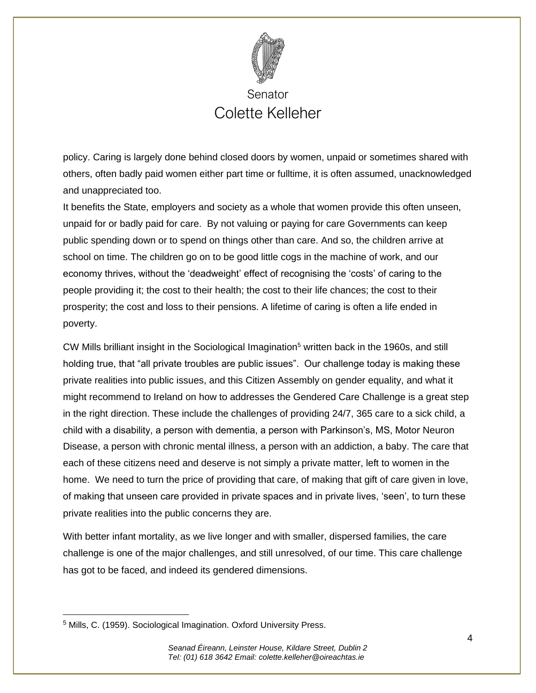

policy. Caring is largely done behind closed doors by women, unpaid or sometimes shared with others, often badly paid women either part time or fulltime, it is often assumed, unacknowledged and unappreciated too.

It benefits the State, employers and society as a whole that women provide this often unseen, unpaid for or badly paid for care. By not valuing or paying for care Governments can keep public spending down or to spend on things other than care. And so, the children arrive at school on time. The children go on to be good little cogs in the machine of work, and our economy thrives, without the 'deadweight' effect of recognising the 'costs' of caring to the people providing it; the cost to their health; the cost to their life chances; the cost to their prosperity; the cost and loss to their pensions. A lifetime of caring is often a life ended in poverty.

CW Mills brilliant insight in the Sociological Imagination<sup>5</sup> written back in the 1960s, and still holding true, that "all private troubles are public issues". Our challenge today is making these private realities into public issues, and this Citizen Assembly on gender equality, and what it might recommend to Ireland on how to addresses the Gendered Care Challenge is a great step in the right direction. These include the challenges of providing 24/7, 365 care to a sick child, a child with a disability, a person with dementia, a person with Parkinson's, MS, Motor Neuron Disease, a person with chronic mental illness, a person with an addiction, a baby. The care that each of these citizens need and deserve is not simply a private matter, left to women in the home. We need to turn the price of providing that care, of making that gift of care given in love, of making that unseen care provided in private spaces and in private lives, 'seen', to turn these private realities into the public concerns they are.

With better infant mortality, as we live longer and with smaller, dispersed families, the care challenge is one of the major challenges, and still unresolved, of our time. This care challenge has got to be faced, and indeed its gendered dimensions.

<sup>5</sup> Mills, C. (1959). Sociological Imagination. Oxford University Press.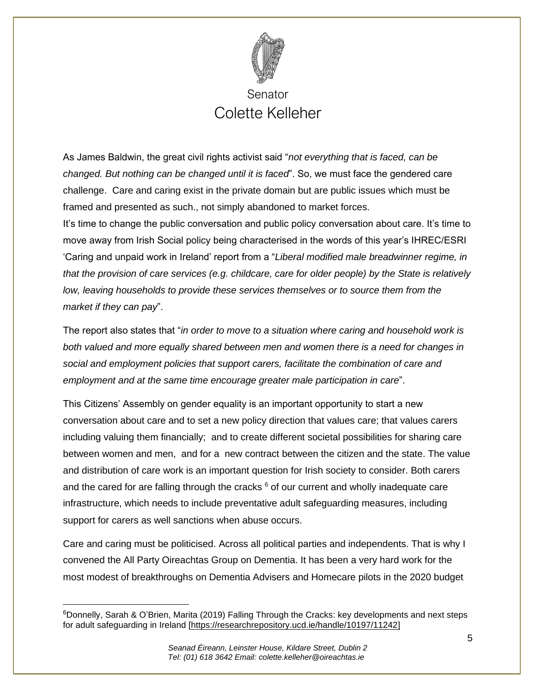

As James Baldwin, the great civil rights activist said "*not everything that is faced, can be changed. But nothing can be changed until it is faced*". So, we must face the gendered care challenge. Care and caring exist in the private domain but are public issues which must be framed and presented as such., not simply abandoned to market forces.

It's time to change the public conversation and public policy conversation about care. It's time to move away from Irish Social policy being characterised in the words of this year's IHREC/ESRI 'Caring and unpaid work in Ireland' report from a "*Liberal modified male breadwinner regime, in that the provision of care services (e.g. childcare, care for older people) by the State is relatively low, leaving households to provide these services themselves or to source them from the market if they can pay*".

The report also states that "*in order to move to a situation where caring and household work is both valued and more equally shared between men and women there is a need for changes in social and employment policies that support carers, facilitate the combination of care and employment and at the same time encourage greater male participation in care*".

This Citizens' Assembly on gender equality is an important opportunity to start a new conversation about care and to set a new policy direction that values care; that values carers including valuing them financially; and to create different societal possibilities for sharing care between women and men, and for a new contract between the citizen and the state. The value and distribution of care work is an important question for Irish society to consider. Both carers and the cared for are falling through the cracks  $6$  of our current and wholly inadequate care infrastructure, which needs to include preventative adult safeguarding measures, including support for carers as well sanctions when abuse occurs.

Care and caring must be politicised. Across all political parties and independents. That is why I convened the All Party Oireachtas Group on Dementia. It has been a very hard work for the most modest of breakthroughs on Dementia Advisers and Homecare pilots in the 2020 budget

<sup>&</sup>lt;sup>6</sup>Donnelly, Sarah & O'Brien, Marita (2019) Falling Through the Cracks: key developments and next steps for adult safeguarding in Ireland [\[https://researchrepository.ucd.ie/handle/10197/11242\]](https://researchrepository.ucd.ie/handle/10197/11242)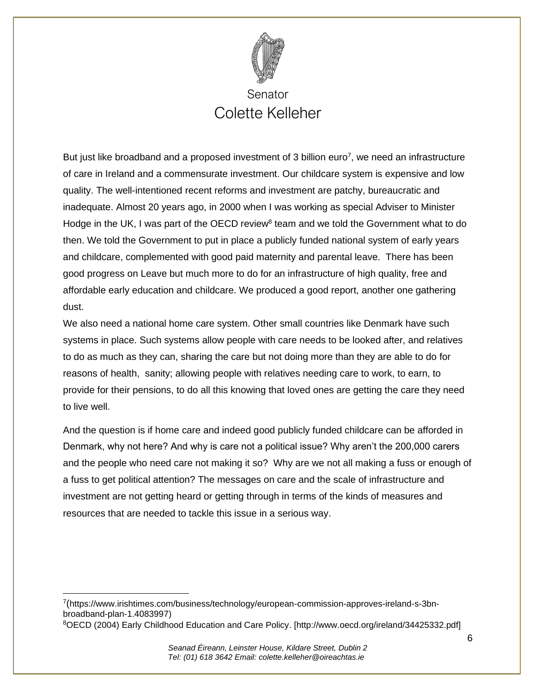

But just like broadband and a proposed investment of 3 billion euro<sup>7</sup>, we need an infrastructure of care in Ireland and a commensurate investment. Our childcare system is expensive and low quality. The well-intentioned recent reforms and investment are patchy, bureaucratic and inadequate. Almost 20 years ago, in 2000 when I was working as special Adviser to Minister Hodge in the UK, I was part of the OECD review<sup>8</sup> team and we told the Government what to do then. We told the Government to put in place a publicly funded national system of early years and childcare, complemented with good paid maternity and parental leave. There has been good progress on Leave but much more to do for an infrastructure of high quality, free and affordable early education and childcare. We produced a good report, another one gathering dust.

We also need a national home care system. Other small countries like Denmark have such systems in place. Such systems allow people with care needs to be looked after, and relatives to do as much as they can, sharing the care but not doing more than they are able to do for reasons of health, sanity; allowing people with relatives needing care to work, to earn, to provide for their pensions, to do all this knowing that loved ones are getting the care they need to live well.

And the question is if home care and indeed good publicly funded childcare can be afforded in Denmark, why not here? And why is care not a political issue? Why aren't the 200,000 carers and the people who need care not making it so? Why are we not all making a fuss or enough of a fuss to get political attention? The messages on care and the scale of infrastructure and investment are not getting heard or getting through in terms of the kinds of measures and resources that are needed to tackle this issue in a serious way.

<sup>&</sup>lt;sup>7</sup>([https://www.irishtimes.com/business/technology/european-commission-approves-ireland-s-3bn](https://www.irishtimes.com/business/technology/european-commission-approves-ireland-s-3bn-broadband-plan-1.4083997)[broadband-plan-1.4083997\)](https://www.irishtimes.com/business/technology/european-commission-approves-ireland-s-3bn-broadband-plan-1.4083997)

<sup>8</sup>OECD (2004) Early Childhood Education and Care Policy. [\[http://www.oecd.org/ireland/34425332.pdf\]](http://www.oecd.org/ireland/34425332.pdf)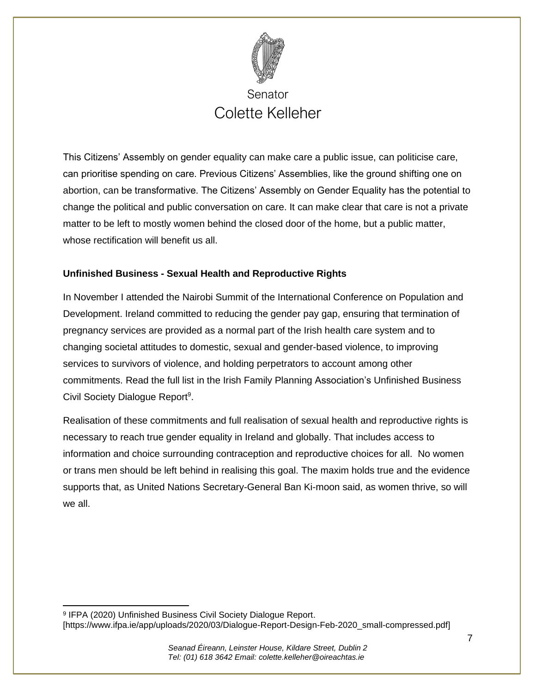

This Citizens' Assembly on gender equality can make care a public issue, can politicise care, can prioritise spending on care. Previous Citizens' Assemblies, like the ground shifting one on abortion, can be transformative. The Citizens' Assembly on Gender Equality has the potential to change the political and public conversation on care. It can make clear that care is not a private matter to be left to mostly women behind the closed door of the home, but a public matter, whose rectification will benefit us all.

#### **Unfinished Business - Sexual Health and Reproductive Rights**

In November I attended the Nairobi Summit of the International Conference on Population and Development. Ireland committed to reducing the gender pay gap, ensuring that termination of pregnancy services are provided as a normal part of the Irish health care system and to changing societal attitudes to domestic, sexual and gender-based violence, to improving services to survivors of violence, and holding perpetrators to account among other commitments. Read the full list in the Irish Family Planning Association's Unfinished Business Civil Society Dialogue Report<sup>9</sup>.

Realisation of these commitments and full realisation of sexual health and reproductive rights is necessary to reach true gender equality in Ireland and globally. That includes access to information and choice surrounding contraception and reproductive choices for all. No women or trans men should be left behind in realising this goal. The maxim holds true and the evidence supports that, as United Nations Secretary-General Ban Ki-moon said, as women thrive, so will we all.

<sup>9</sup> IFPA (2020) Unfinished Business Civil Society Dialogue Report. [\[https://www.ifpa.ie/app/uploads/2020/03/Dialogue-Report-Design-Feb-2020\\_small-compressed.pdf\]](https://www.ifpa.ie/app/uploads/2020/03/Dialogue-Report-Design-Feb-2020_small-compressed.pdf)

7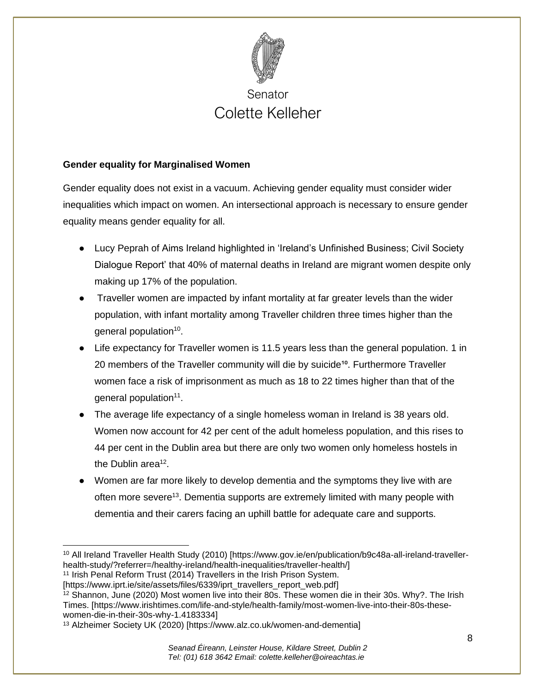

#### **Gender equality for Marginalised Women**

Gender equality does not exist in a vacuum. Achieving gender equality must consider wider inequalities which impact on women. An intersectional approach is necessary to ensure gender equality means gender equality for all.

- Lucy Peprah of Aims Ireland highlighted in 'Ireland's Unfinished Business; Civil Society Dialogue Report' that 40% of maternal deaths in Ireland are migrant women despite only making up 17% of the population.
- Traveller women are impacted by infant mortality at far greater levels than the wider population, with infant mortality among Traveller children three times higher than the general population<sup>10</sup>.
- Life expectancy for Traveller women is 11.5 years less than the general population. 1 in 20 members of the Traveller community will die by suicide<sup>10</sup>. Furthermore Traveller women face a risk of imprisonment as much as 18 to 22 times higher than that of the general population<sup>11</sup>.
- The average life expectancy of a single homeless woman in Ireland is 38 years old. Women now account for 42 per cent of the adult homeless population, and this rises to 44 per cent in the Dublin area but there are only two women only homeless hostels in the Dublin area<sup>12</sup>.
- Women are far more likely to develop dementia and the symptoms they live with are often more severe<sup>13</sup>. Dementia supports are extremely limited with many people with dementia and their carers facing an uphill battle for adequate care and supports.

[https://www.iprt.ie/site/assets/files/6339/iprt\_travellers\_report\_web.pdf]

<sup>10</sup> All Ireland Traveller Health Study (2010) [https://www.gov.ie/en/publication/b9c48a-all-ireland-travellerhealth-study/?referrer=/healthy-ireland/health-inequalities/traveller-health/]

<sup>&</sup>lt;sup>11</sup> Irish Penal Reform Trust (2014) Travellers in the Irish Prison System.

<sup>&</sup>lt;sup>12</sup> Shannon, June (2020) Most women live into their 80s. These women die in their 30s. Why?. The Irish Times. [\[https://www.irishtimes.com/life-and-style/health-family/most-women-live-into-their-80s-these](https://www.irishtimes.com/life-and-style/health-family/most-women-live-into-their-80s-these-women-die-in-their-30s-why-1.4183334)[women-die-in-their-30s-why-1.4183334\]](https://www.irishtimes.com/life-and-style/health-family/most-women-live-into-their-80s-these-women-die-in-their-30s-why-1.4183334)

<sup>13</sup> Alzheimer Society UK (2020) [https://www.alz.co.uk/women-and-dementia]